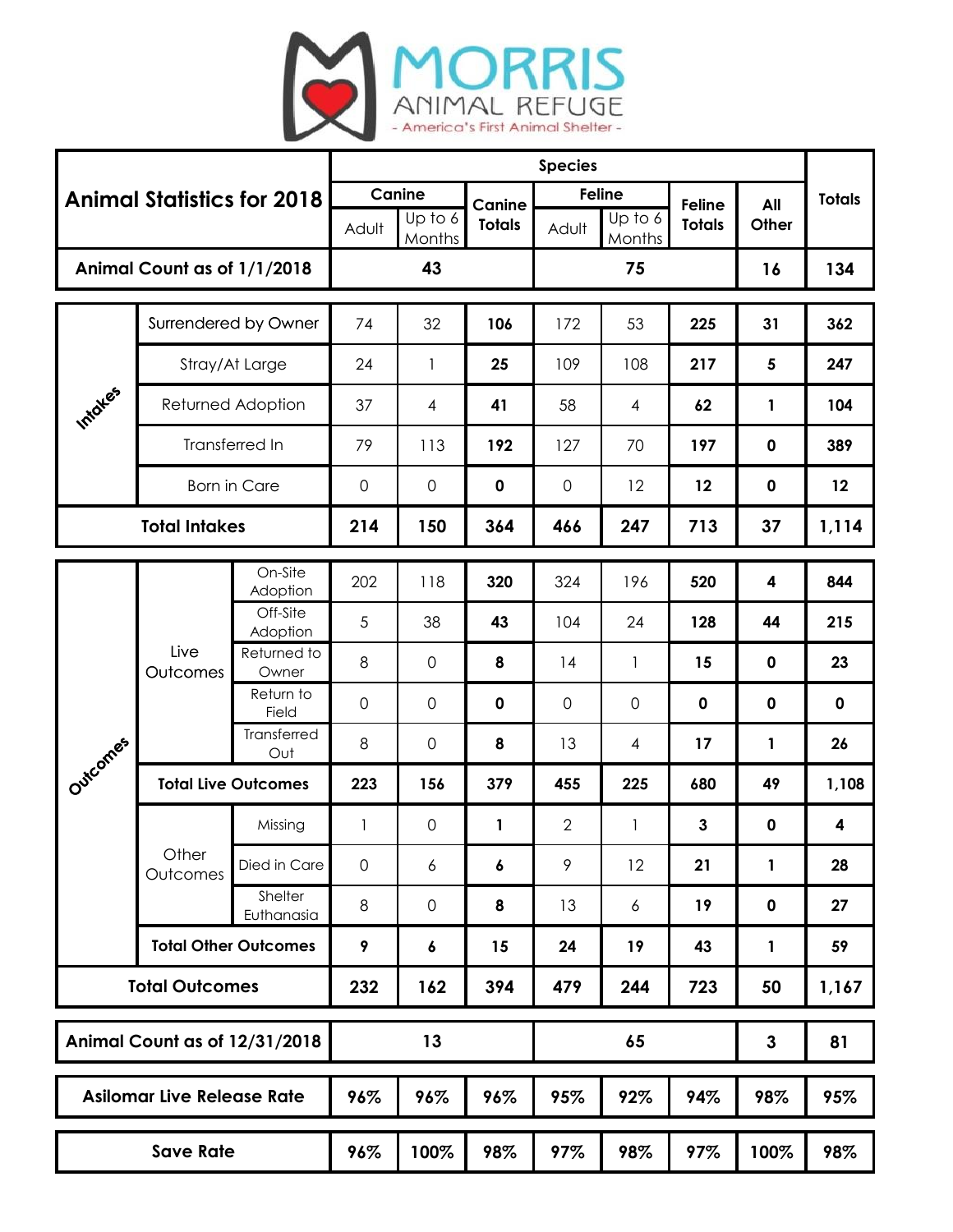

| <b>Animal Statistics for 2018</b> |                             |                       | <b>Species</b> |                             |                         |                |                                    |                                |              |               |
|-----------------------------------|-----------------------------|-----------------------|----------------|-----------------------------|-------------------------|----------------|------------------------------------|--------------------------------|--------------|---------------|
|                                   |                             |                       | Adult          | Canine<br>Up to 6<br>Months | Canine<br><b>Totals</b> | Adult          | <b>Feline</b><br>Up to 6<br>Months | <b>Feline</b><br><b>Totals</b> | All<br>Other | <b>Totals</b> |
| Animal Count as of 1/1/2018       |                             |                       |                | 43                          |                         |                | 75                                 |                                | 16           | 134           |
| Intoles                           | Surrendered by Owner        |                       | 74             | 32                          | 106                     | 172            | 53                                 | 225                            | 31           | 362           |
|                                   | Stray/At Large              |                       | 24             | 1                           | 25                      | 109            | 108                                | 217                            | 5            | 247           |
|                                   | Returned Adoption           |                       | 37             | 4                           | 41                      | 58             | 4                                  | 62                             | 1            | 104           |
|                                   | Transferred In              |                       | 79             | 113                         | 192                     | 127            | 70                                 | 197                            | $\pmb{0}$    | 389           |
|                                   | <b>Born in Care</b>         |                       | $\overline{0}$ | $\mathbf 0$                 | $\mathbf 0$             | 0              | 12                                 | 12                             | $\pmb{0}$    | 12            |
|                                   | <b>Total Intakes</b>        |                       |                | 150                         | 364                     | 466            | 247                                | 713                            | 37           | 1,114         |
| Outcomes                          | Live<br>Outcomes            | On-Site<br>Adoption   | 202            | 118                         | 320                     | 324            | 196                                | 520                            | 4            | 844           |
|                                   |                             | Off-Site<br>Adoption  | 5              | 38                          | 43                      | 104            | 24                                 | 128                            | 44           | 215           |
|                                   |                             | Returned to<br>Owner  | 8              | $\mathbf 0$                 | 8                       | 14             | $\mathbf{1}$                       | 15                             | $\mathbf 0$  | 23            |
|                                   |                             | Return to<br>Field    | $\mathbf 0$    | $\mathbf 0$                 | $\mathbf 0$             | 0              | $\mathbf 0$                        | $\mathbf 0$                    | $\mathbf 0$  | $\mathbf 0$   |
|                                   |                             | Transferred<br>Out    | 8              | $\mathsf{O}\xspace$         | 8                       | 13             | 4                                  | 17                             | 1            | 26            |
|                                   | <b>Total Live Outcomes</b>  |                       | 223            | 156                         | 379                     | 455            | 225                                | 680                            | 49           | 1,108         |
|                                   | Other<br>Outcomes           | Missing               | 1              | 0                           | 1                       | $\overline{2}$ | 1                                  | 3                              | $\mathbf 0$  | 4             |
|                                   |                             | Died in Care          | $\overline{0}$ | 6                           | 6                       | 9              | 12                                 | 21                             | 1            | 28            |
|                                   |                             | Shelter<br>Euthanasia | $\,8\,$        | $\mathbf 0$                 | 8                       | 13             | 6                                  | 19                             | $\pmb{0}$    | 27            |
|                                   | <b>Total Other Outcomes</b> |                       | 9              | 6                           | 15                      | 24             | 19                                 | 43                             | 1            | 59            |
| <b>Total Outcomes</b>             |                             |                       | 232            | 162                         | 394                     | 479            | 244                                | 723                            | 50           | 1,167         |
| Animal Count as of 12/31/2018     |                             |                       | 13             |                             |                         |                | 65                                 | $\mathbf{3}$                   | 81           |               |
| <b>Asilomar Live Release Rate</b> |                             |                       | 96%            | 96%                         | 96%                     | 95%            | 92%                                | 94%                            | 98%          | 95%           |
| <b>Save Rate</b>                  |                             |                       | 96%            | 100%                        | 98%                     | 97%            | 98%                                | 97%                            | 100%         | 98%           |